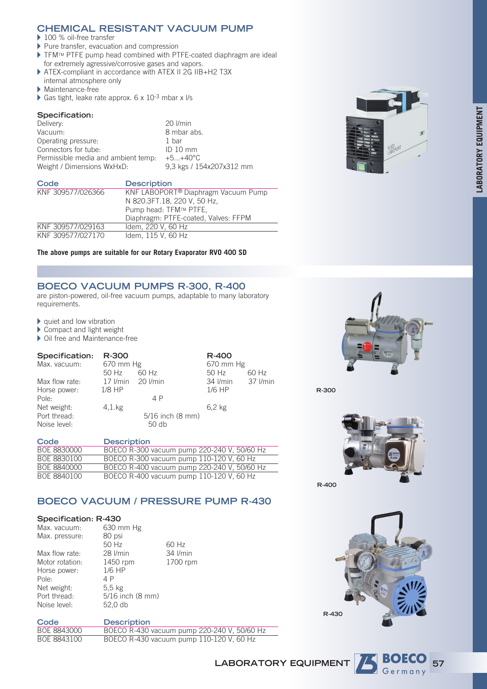# **CHEMICAL RESISTANT VACUUM PUMP**

▶ 100 % oil-free transfer

- $\blacktriangleright$  Pure transfer, evacuation and compression
- $\triangleright$  TFMTM PTFE pump head combined with PTFE-coated diaphragm are ideal for extremely agressive/corrosive gases and vapors.
- ▶ ATEX-compliant in accordance with ATEX II 2G IIB+H2 T3X internal atmosphere only
- $\blacktriangleright$  Maintenance-free
- Gas tight, leake rate approx.  $6 \times 10^{-3}$  mbar x l/s

## **Specification:**

| Delivery:                           | $20$ I/min               |
|-------------------------------------|--------------------------|
| Vacuum:                             | 8 mbar abs.              |
| Operating pressure:                 | 1 bar                    |
| Connectors for tube:                | $ID$ 10 mm               |
| Permissible media and ambient temp. | $+5+40^{\circ}C$         |
| Weight / Dimensions WxHxD:          | 9.3 kgs / 154x207x312 mm |

| Code              | <b>Description</b>                              |
|-------------------|-------------------------------------------------|
| KNF 309577/026366 | KNF LABOPORT <sup>®</sup> Diaphragm Vacuum Pump |
|                   | N 820.3FT.18, 220 V, 50 Hz,                     |
|                   | Pump head: TFM™ PTFE,                           |
|                   | Diaphragm: PTFE-coated, Valves: FFPM            |
| KNF 309577/029163 | Idem, 220 V, 60 Hz                              |
| KNF 309577/027170 | Idem, 115 V, 60 Hz                              |

## **The above pumps are suitable for our Rotary Evaporator RVO 400 SD**

# **BOECO VACUUM PUMPS R-300, R-400**

are piston-powered, oil-free vacuum pumps, adaptable to many laboratory requirements.

 $\blacktriangleright$  quiet and low vibration

- $\blacktriangleright$  Compact and light weight
- $\triangleright$  Oil free and Maintenance-free

| Specification: | R-300              |                              | R-400             |       |
|----------------|--------------------|------------------------------|-------------------|-------|
| Max. vacuum:   | 670 mm Hg          |                              | 670 mm Hg         |       |
|                | 50 Hz              | $60$ Hz                      | 50 Hz             | 60 Hz |
| Max flow rate: | 17 I/min 20 I/min  |                              | 34 I/min 37 I/min |       |
| Horse power:   | $1/8$ HP           |                              | $1/6$ HP          |       |
| Pole:          |                    | 4 P                          |                   |       |
| Net weight:    | $4.1\,\mathrm{kg}$ |                              | 6.2 kg            |       |
| Port thread:   |                    | $5/16$ inch $(8 \text{ mm})$ |                   |       |
| Noise level:   |                    | $50$ db                      |                   |       |

| Code        | <b>Description</b>                          |
|-------------|---------------------------------------------|
| BOE 8830000 | BOECO R-300 vacuum pump 220-240 V, 50/60 Hz |
| BOE 8830100 | BOECO R-300 vacuum pump 110-120 V, 60 Hz    |
| BOE 8840000 | BOECO R-400 vacuum pump 220-240 V, 50/60 Hz |
| BOE 8840100 | BOECO R-400 vacuum pump 110-120 V, 60 Hz    |

# **BOECO VACUUM / PRESSURE PUMP R-430**

#### **Specification: R-430**

| Max. vacuum:    | 630 mm Hg                    |                 |
|-----------------|------------------------------|-----------------|
| Max. pressure:  | 80 psi                       |                 |
|                 | 50 Hz                        | 60 Hz           |
| Max flow rate:  | 28 <i>I/min</i>              | 34 <i>l/min</i> |
| Motor rotation: | 1450 rpm                     | 1700 rpm        |
| Horse power:    | $1/6$ HP                     |                 |
| Pole:           | 4 P                          |                 |
| Net weight:     | 5.5 <sub>kg</sub>            |                 |
| Port thread:    | $5/16$ inch $(8 \text{ mm})$ |                 |
| Noise level:    | 52.0 db                      |                 |

| Code        | <b>Description</b>                          |
|-------------|---------------------------------------------|
| BOE 8843000 | BOECO R-430 vacuum pump 220-240 V, 50/60 Hz |
| BOE 8843100 | BOECO R-430 vacuum pump 110-120 V, 60 Hz    |





**R-300**



**R-400**





**LABORATORY EQUIPMENT**



**57**